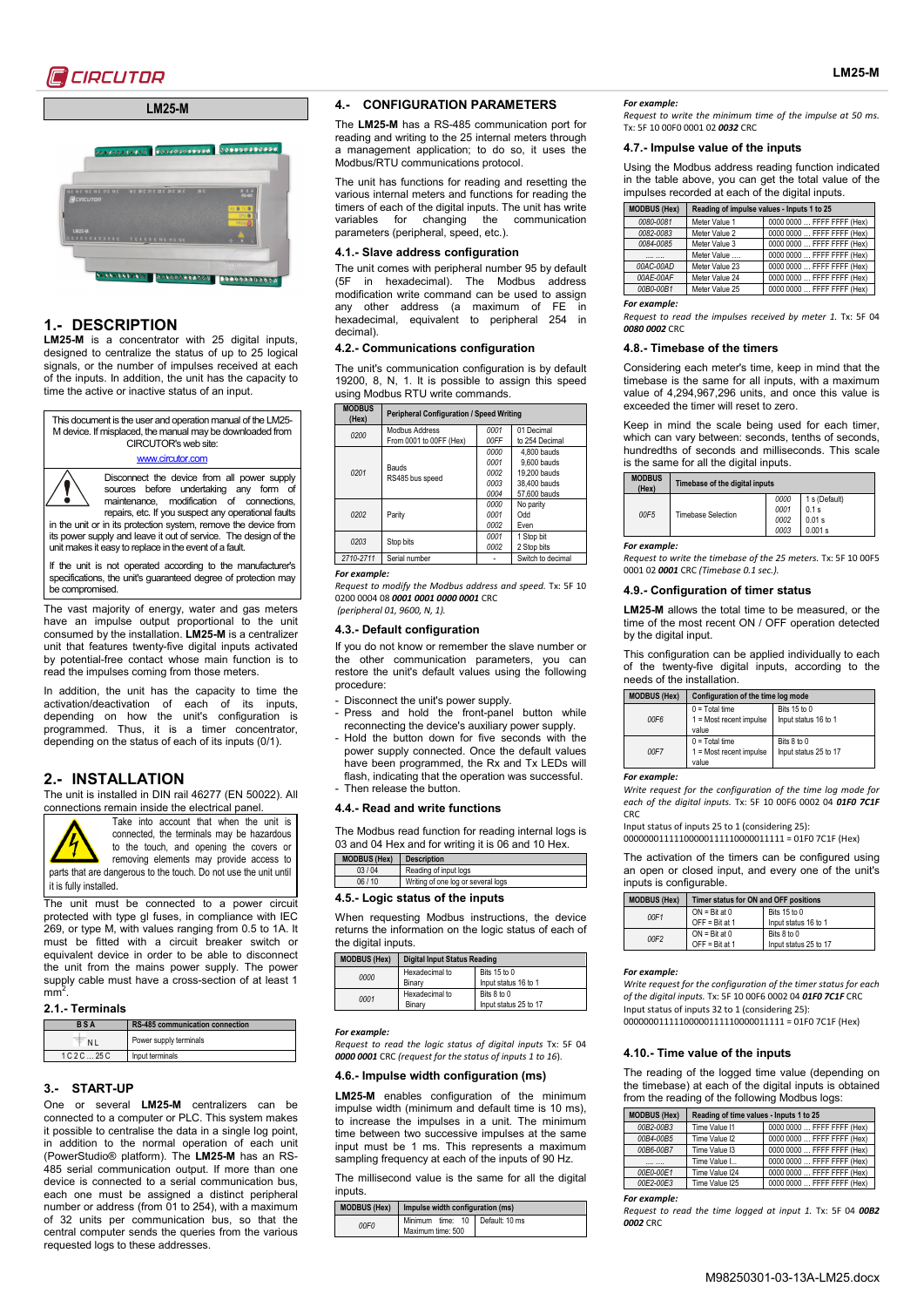



# **1.- DESCRIPTION**

**LM25-M** is a concentrator with 25 digital inputs, designed to centralize the status of up to 25 logical signals, or the number of impulses received at each of the inputs. In addition, the unit has the capacity to time the active or inactive status of an input.

This document is the user and operation manual of the LM25- M device. If misplaced, the manual may be downloaded from CIRCUTOR's web site: [www.circutor.com](http://www.circutor.com/) Disconnect the device from all power supply

sources before undertaking any form of maintenance, modification of connections, repairs, etc. If you suspect any operational faults in the unit or in its protection system, remove the device from its power supply and leave it out of service. The design of the unit makes it easy to replace in the event of a fault.

If the unit is not operated according to the manufacturer's specifications, the unit's guaranteed degree of protection may be compromised.

The vast majority of energy, water and gas meters have an impulse output proportional to the unit consumed by the installation. **LM25-M** is a centralizer unit that features twenty-five digital inputs activated by potential-free contact whose main function is to read the impulses coming from those meters.

In addition, the unit has the capacity to time the activation/deactivation of each of its inputs, depending on how the unit's configuration is programmed. Thus, it is a timer concentrator, depending on the status of each of its inputs (0/1).

# **2.- INSTALLATION**

The unit is installed in DIN rail 46277 (EN 50022). All connections remain inside the electrical panel.



Take into account that when the unit is connected, the terminals may be hazardous to the touch, and opening the covers or removing elements may provide access to

parts that are dangerous to the touch. Do not use the unit until it is fully installed.

The unit must be connected to a power circuit protected with type gl fuses, in compliance with IEC 269, or type M, with values ranging from 0.5 to 1A. It must be fitted with a circuit breaker switch or equivalent device in order to be able to disconnect the unit from the mains power supply. The power supply cable must have a cross-section of at least 1  $mm<sup>2</sup>$ .

## **2.1.- Terminals**

| <b>BSA</b> | <b>RS-485 communication connection</b> |  |
|------------|----------------------------------------|--|
|            | Power supply terminals                 |  |
| 1C2C.25C   | Input terminals                        |  |

## **3.- START-UP**

One or several **LM25-M** centralizers can be connected to a computer or PLC. This system makes it possible to centralise the data in a single log point, in addition to the normal operation of each unit (PowerStudio® platform). The **LM25-M** has an RS-485 serial communication output. If more than one device is connected to a serial communication bus, each one must be assigned a distinct peripheral number or address (from 01 to 254), with a maximum of 32 units per communication bus, so that the central computer sends the queries from the various requested logs to these addresses.

### **4.- CONFIGURATION PARAMETERS**

The **LM25-M** has a RS-485 communication port for reading and writing to the 25 internal meters through a management application; to do so, it uses the Modbus/RTU communications protocol.

The unit has functions for reading and resetting the various internal meters and functions for reading the timers of each of the digital inputs. The unit has write<br>variables for changing the communication variables for changing the parameters (peripheral, speed, etc.).

## **4.1.- Slave address configuration**

The unit comes with peripheral number 95 by default<br>(5F in hexadecimal). The Modbus address in hexadecimal). The Modbus address modification write command can be used to assign any other address (a maximum of FE in hexadecimal, equivalent to peripheral 254 in decimal).

## **4.2.- Communications configuration**

The unit's communication configuration is by default 19200, 8, N, 1. It is possible to assign this speed using Modbus RTU write commands.

| <b>MODBUS</b><br>(Hex) | <b>Peripheral Configuration / Speed Writing</b> |      |                   |
|------------------------|-------------------------------------------------|------|-------------------|
| 0200                   | Modbus Address                                  | 0001 | 01 Decimal        |
|                        | From 0001 to 00FF (Hex)                         | 00FF | to 254 Decimal    |
|                        | <b>Bauds</b><br>RS485 bus speed                 | 0000 | 4.800 bauds       |
|                        |                                                 | 0001 | 9.600 bauds       |
| 0201                   |                                                 | 0002 | 19,200 bauds      |
|                        |                                                 | 0003 | 38,400 bauds      |
|                        |                                                 | 0004 | 57.600 bauds      |
|                        | Parity                                          | 0000 | No parity         |
| 0202                   |                                                 | 0001 | Odd               |
|                        |                                                 | 0002 | Even              |
| 0203                   | Stop bits                                       | 0001 | 1 Stop bit        |
|                        |                                                 | 0002 | 2 Stop bits       |
| 2710-2711              | Serial number                                   |      | Switch to decimal |

#### *For example:*

*Request to modify the Modbus address and speed.* Tx: 5F 10 0200 0004 08 *0001 0001 0000 0001* CRC *(peripheral 01, 9600, N, 1).*

### **4.3.- Default configuration**

If you do not know or remember the slave number or the other communication parameters, you can restore the unit's default values using the following procedure:

- Disconnect the unit's power supply.
- Press and hold the front-panel button while reconnecting the device's auxiliary power supply.
- Hold the button down for five seconds with the power supply connected. Once the default values have been programmed, the Rx and Tx LEDs will flash, indicating that the operation was successful. - Then release the button.

#### **4.4.- Read and write functions**

The Modbus read function for reading internal logs is 03 and 04 Hex and for writing it is 06 and 10 Hex. **MODBUS (Hex) Description** 

| 03/04      | Reading of input logs                                |
|------------|------------------------------------------------------|
| 06/10      | Writing of one log or several logs                   |
| $\epsilon$ | المقاربون والمسافر فسيرته والمسترات والمراجين الرابع |

## **4.5.- Logic status of the inputs**

When requesting Modbus instructions, the device returns the information on the logic status of each of the digital inputs.

| <b>MODBUS (Hex)</b> | <b>Digital Input Status Reading</b> |                                      |
|---------------------|-------------------------------------|--------------------------------------|
| 0000                | Hexadecimal to<br>Binary            | Bits 15 to 0<br>Input status 16 to 1 |
| 0001                | Hexadecimal to<br>Binary            | Bits 8 to 0<br>Input status 25 to 17 |

*For example:* 

*Request to read the logic status of digital inputs* Tx: 5F 04 *0000 0001* CRC *(request for the status of inputs 1 to 16*).

## **4.6.- Impulse width configuration (ms)**

**LM25-M** enables configuration of the minimum impulse width (minimum and default time is 10 ms), to increase the impulses in a unit. The minimum time between two successive impulses at the same input must be 1 ms. This represents a maximum sampling frequency at each of the inputs of 90 Hz.

The millisecond value is the same for all the digital inputs.

|                  | MODBUS (Hex)   Impulse width configuration (ms)      |  |  |
|------------------|------------------------------------------------------|--|--|
| 00F <sub>0</sub> | Minimum time: 10 Default: 10 ms<br>Maximum time: 500 |  |  |

### *For example:*

*Request to write the minimum time of the impulse at 50 ms.*  Tx: 5F 10 00F0 0001 02 *0032* CRC

#### **4.7.- Impulse value of the inputs**

Using the Modbus address reading function indicated in the table above, you can get the total value of the impulses recorded at each of the digital inputs.

| <b>MODBUS (Hex)</b> | Reading of impulse values - Inputs 1 to 25 |                            |
|---------------------|--------------------------------------------|----------------------------|
| 0080-0081           | Meter Value 1                              | 0000 0000  FFFF FFFF (Hex) |
| 0082-0083           | Meter Value 2                              | 0000 0000  FFFF FFFF (Hex) |
| 0084-0085           | Meter Value 3                              | 0000 0000  FFFF FFFF (Hex) |
|                     | Meter Value                                | 0000 0000  FFFF FFFF (Hex) |
| 00AC-00AD           | Meter Value 23                             | 0000 0000  FFFF FFFF (Hex) |
| 00AE-00AF           | Meter Value 24                             | 0000 0000  FFFF FFFF (Hex) |
| 00B0-00B1           | Meter Value 25                             | 0000 0000  FFFF FFFF (Hex) |
|                     |                                            |                            |

*For example:* 

*Request to read the impulses received by meter 1.* Tx: 5F 04 *0080 0002* CRC

## **4.8.- Timebase of the timers**

Considering each meter's time, keep in mind that the timebase is the same for all inputs, with a maximum value of 4,294,967,296 units, and once this value is exceeded the timer will reset to zero.

Keep in mind the scale being used for each timer, which can vary between: seconds, tenths of seconds, hundredths of seconds and milliseconds. This scale is the same for all the digital inputs.

| <b>MODBUS</b><br>(Hex) | Timebase of the digital inputs |                              |                                             |
|------------------------|--------------------------------|------------------------------|---------------------------------------------|
| 00F5                   | <b>Timebase Selection</b>      | 0000<br>0001<br>0002<br>0003 | 1 s (Default)<br>0.1 s<br>0.01 s<br>0.001 s |

#### *For example:*

*Request to write the timebase of the 25 meters.* Tx: 5F 10 00F5 0001 02 *0001* CRC *(Timebase 0.1 sec.).*

#### **4.9.- Configuration of timer status**

**LM25-M** allows the total time to be measured, or the time of the most recent ON / OFF operation detected by the digital input.

This configuration can be applied individually to each of the twenty-five digital inputs, according to the needs of the installation.

| <b>MODBUS (Hex)</b> | Configuration of the time log mode                     |                                      |  |
|---------------------|--------------------------------------------------------|--------------------------------------|--|
| 00F6                | $0 = Total time$<br>$1 = Most recent impulse$<br>value | Bits 15 to 0<br>Input status 16 to 1 |  |
| 00F7                | $0 = Total time$<br>$1 = Most recent impulse$<br>value | Bits 8 to 0<br>Input status 25 to 17 |  |

## *For example:*

*Write request for the configuration of the time log mode for each of the digital inputs.* Tx: 5F 10 00F6 0002 04 *01F0 7C1F* CRC

Input status of inputs 25 to 1 (considering 25):

00000001111100000111110000011111 = 01F0 7C1F (Hex)

The activation of the timers can be configured using an open or closed input, and every one of the unit's inputs is configurable.

| <b>MODBUS (Hex)</b> | Timer status for ON and OFF positions |                                      |
|---------------------|---------------------------------------|--------------------------------------|
| 00F1                | $ON = Bit at 0$<br>$OFF = Bit at 1$   | Bits 15 to 0<br>Input status 16 to 1 |
| 00F2                | $ON = Bit at 0$<br>$OFF = Bit at 1$   | Bits 8 to 0<br>Input status 25 to 17 |

## *For example:*

*Write request for the configuration of the timer status for each of the digital inputs.* Tx: 5F 10 00F6 0002 04 *01F0 7C1F* CRC Input status of inputs 32 to 1 (considering 25):

00000001111100000111110000011111 = 01F0 7C1F (Hex)

## **4.10.- Time value of the inputs**

The reading of the logged time value (depending on the timebase) at each of the digital inputs is obtained from the reading of the following Modbus logs:

| <b>MODBUS (Hex)</b> | Reading of time values - Inputs 1 to 25 |                            |
|---------------------|-----------------------------------------|----------------------------|
| 00B2-00B3           | Time Value I1                           | 0000 0000  FFFF FFFF (Hex) |
| 00B4-00B5           | Time Value I2                           | 0000 0000  FFFF FFFF (Hex) |
| 00B6-00B7           | Time Value I3                           | 0000 0000  FFFF FFFF (Hex) |
|                     | Time Value I                            | 0000 0000  FFFF FFFF (Hex) |
| 00E0-00E1           | Time Value I24                          | 0000 0000  FFFF FFFF (Hex) |
| 00E2-00E3           | Time Value I25                          | 0000 0000  FFFF FFFF (Hex) |

*For example:* 

*Request to read the time logged at input 1.* Tx: 5F 04 *00B2 0002* CRC